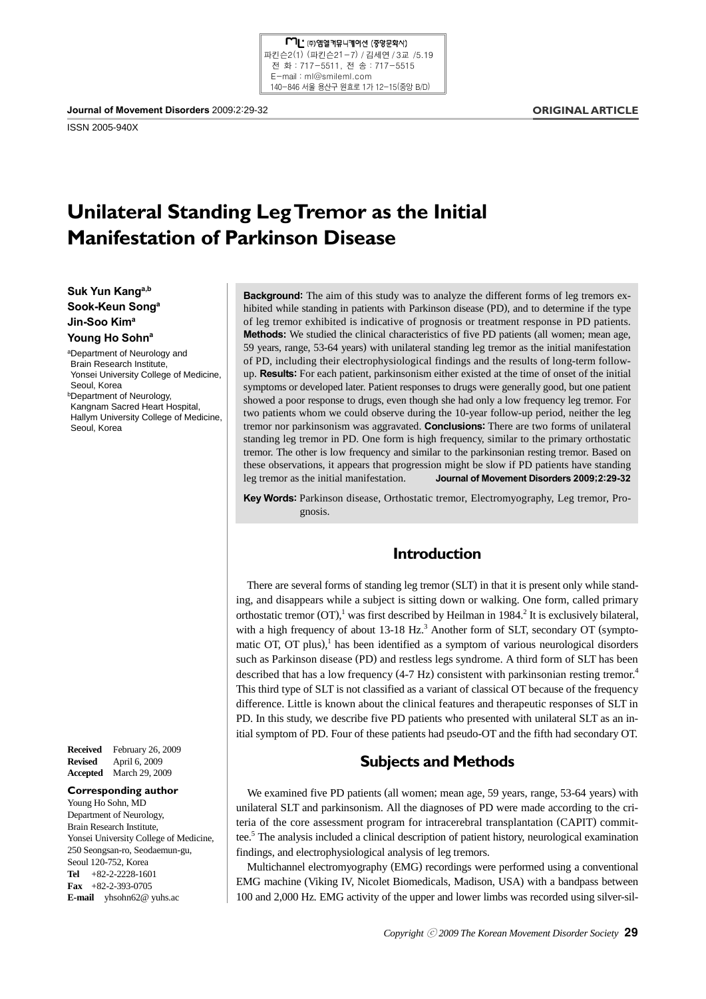ISSN 2005-940X

### **ORIGINAL ARTICLE**

# **Unilateral Standing Leg Tremor as the Initial Manifestation of Parkinson Disease**

**Suk Yun Kanga,b Sook-Keun Songa Jin-Soo Kima** Young Ho Sohn<sup>a</sup>

aDepartment of Neurology and Brain Research Institute, Yonsei University College of Medicine, Seoul, Korea **bDepartment of Neurology,** Kangnam Sacred Heart Hospital, Hallym University College of Medicine, Seoul, Korea

**Received** February 26, 2009 **Revised** April 6, 2009 **Accepted** March 29, 2009

#### **Corresponding author**

Young Ho Sohn, MD Department of Neurology, Brain Research Institute, Yonsei University College of Medicine, 250 Seongsan-ro, Seodaemun-gu, Seoul 120-752, Korea **Tel** +82-2-2228-1601 **Fax** +82-2-393-0705 **E-mail** yhsohn62@ yuhs.ac

**Background:** The aim of this study was to analyze the different forms of leg tremors exhibited while standing in patients with Parkinson disease (PD), and to determine if the type of leg tremor exhibited is indicative of prognosis or treatment response in PD patients. **Methods:** We studied the clinical characteristics of five PD patients (all women; mean age, 59 years, range, 53-64 years) with unilateral standing leg tremor as the initial manifestation of PD, including their electrophysiological findings and the results of long-term followup. **Results:** For each patient, parkinsonism either existed at the time of onset of the initial symptoms or developed later. Patient responses to drugs were generally good, but one patient showed a poor response to drugs, even though she had only a low frequency leg tremor. For two patients whom we could observe during the 10-year follow-up period, neither the leg tremor nor parkinsonism was aggravated. **Conclusions:** There are two forms of unilateral standing leg tremor in PD. One form is high frequency, similar to the primary orthostatic tremor. The other is low frequency and similar to the parkinsonian resting tremor. Based on these observations, it appears that progression might be slow if PD patients have standing leg tremor as the initial manifestation. **Journal of Movement Disorders 2009;2:29-32**

**Key Words:** Parkinson disease, Orthostatic tremor, Electromyography, Leg tremor, Prognosis.

# **Introduction**

There are several forms of standing leg tremor (SLT) in that it is present only while standing, and disappears while a subject is sitting down or walking. One form, called primary orthostatic tremor (OT),<sup>1</sup> was first described by Heilman in 1984.<sup>2</sup> It is exclusively bilateral, with a high frequency of about  $13-18$  Hz.<sup>3</sup> Another form of SLT, secondary OT (symptomatic OT, OT plus),<sup>1</sup> has been identified as a symptom of various neurological disorders such as Parkinson disease (PD) and restless legs syndrome. A third form of SLT has been described that has a low frequency (4-7 Hz) consistent with parkinsonian resting tremor.<sup>4</sup> This third type of SLT is not classified as a variant of classical OT because of the frequency difference. Little is known about the clinical features and therapeutic responses of SLT in PD. In this study, we describe five PD patients who presented with unilateral SLT as an initial symptom of PD. Four of these patients had pseudo-OT and the fifth had secondary OT.

# **Subjects and Methods**

We examined five PD patients (all women; mean age, 59 years, range, 53-64 years) with unilateral SLT and parkinsonism. All the diagnoses of PD were made according to the criteria of the core assessment program for intracerebral transplantation (CAPIT) committee.<sup>5</sup> The analysis included a clinical description of patient history, neurological examination findings, and electrophysiological analysis of leg tremors.

Multichannel electromyography (EMG) recordings were performed using a conventional EMG machine (Viking IV, Nicolet Biomedicals, Madison, USA) with a bandpass between 100 and 2,000 Hz. EMG activity of the upper and lower limbs was recorded using silver-sil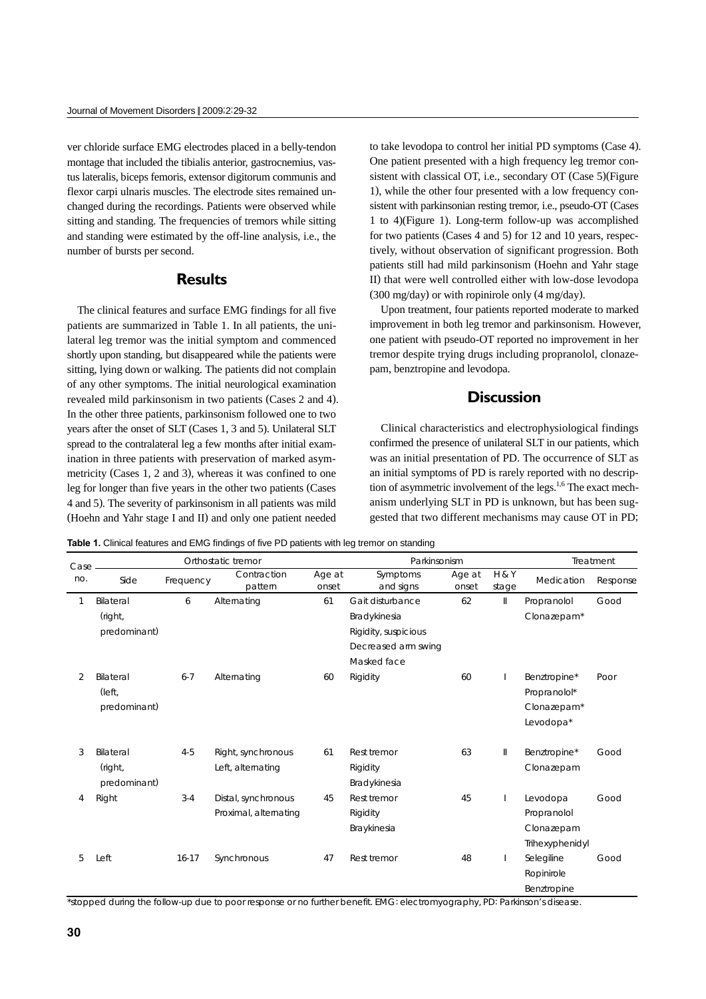ver chloride surface EMG electrodes placed in a belly-tendon montage that included the tibialis anterior, gastrocnemius, vastus lateralis, biceps femoris, extensor digitorum communis and flexor carpi ulnaris muscles. The electrode sites remained unchanged during the recordings. Patients were observed while sitting and standing. The frequencies of tremors while sitting and standing were estimated by the off-line analysis, i.e., the number of bursts per second.

### **Results**

The clinical features and surface EMG findings for all five patients are summarized in Table 1. In all patients, the unilateral leg tremor was the initial symptom and commenced shortly upon standing, but disappeared while the patients were sitting, lying down or walking. The patients did not complain of any other symptoms. The initial neurological examination revealed mild parkinsonism in two patients (Cases 2 and 4). In the other three patients, parkinsonism followed one to two years after the onset of SLT (Cases 1, 3 and 5). Unilateral SLT spread to the contralateral leg a few months after initial examination in three patients with preservation of marked asymmetricity (Cases 1, 2 and 3), whereas it was confined to one leg for longer than five years in the other two patients (Cases 4 and 5). The severity of parkinsonism in all patients was mild (Hoehn and Yahr stage I and II) and only one patient needed

to take levodopa to control her initial PD symptoms (Case 4). One patient presented with a high frequency leg tremor consistent with classical OT, i.e., secondary OT (Case 5)(Figure 1), while the other four presented with a low frequency consistent with parkinsonian resting tremor, i.e., pseudo-OT (Cases 1 to 4)(Figure 1). Long-term follow-up was accomplished for two patients (Cases 4 and 5) for 12 and 10 years, respectively, without observation of significant progression. Both patients still had mild parkinsonism (Hoehn and Yahr stage II) that were well controlled either with low-dose levodopa (300 mg/day) or with ropinirole only (4 mg/day).

Upon treatment, four patients reported moderate to marked improvement in both leg tremor and parkinsonism. However, one patient with pseudo-OT reported no improvement in her tremor despite trying drugs including propranolol, clonazepam, benztropine and levodopa.

### **Discussion**

Clinical characteristics and electrophysiological findings confirmed the presence of unilateral SLT in our patients, which was an initial presentation of PD. The occurrence of SLT as an initial symptoms of PD is rarely reported with no description of asymmetric involvement of the legs. $1,6$  The exact mechanism underlying SLT in PD is unknown, but has been suggested that two different mechanisms may cause OT in PD;

**Table 1.** Clinical features and EMG findings of five PD patients with leg tremor on standing

| Case | Orthostatic tremor                   |           |                                              |                 | Parkinsonism                            |                 |                           | Treatment                                                |          |
|------|--------------------------------------|-----------|----------------------------------------------|-----------------|-----------------------------------------|-----------------|---------------------------|----------------------------------------------------------|----------|
| no.  | Side                                 | Frequency | Contraction<br>pattern                       | Age at<br>onset | Symptoms<br>and signs                   | Age at<br>onset | <b>H &amp; Y</b><br>stage | Medication                                               | Response |
| 1    | Bilateral                            | 6         | Alternating                                  | 61              | Gait disturbance                        | 62              | $\parallel$               | Propranolol                                              | Good     |
|      | (right,                              |           |                                              |                 | Bradykinesia                            |                 |                           | Clonazepam*                                              |          |
|      | predominant)                         |           |                                              |                 | Rigidity, suspicious                    |                 |                           |                                                          |          |
|      |                                      |           |                                              |                 | Decreased arm swing                     |                 |                           |                                                          |          |
|      |                                      |           |                                              |                 | Masked face                             |                 |                           |                                                          |          |
| 2    | Bilateral<br>(left,<br>predominant)  | $6 - 7$   | Alternating                                  | 60              | Rigidity                                | 60              |                           | Benztropine*<br>Propranolol*<br>Clonazepam*<br>Levodopa* | Poor     |
| 3    | Bilateral<br>(right,<br>predominant) | $4 - 5$   | Right, synchronous<br>Left, alternating      | 61              | Rest tremor<br>Rigidity<br>Bradykinesia | 63              | $\parallel$               | Benztropine*<br>Clonazepam                               | Good     |
| 4    | Right                                | $3 - 4$   | Distal, synchronous<br>Proximal, alternating | 45              | Rest tremor<br>Rigidity<br>Braykinesia  | 45              |                           | Levodopa<br>Propranolol<br>Clonazepam<br>Trihexyphenidyl | Good     |
| 5    | Left                                 | $16 - 17$ | Synchronous                                  | 47              | Rest tremor                             | 48              |                           | Selegiline<br>Ropinirole<br>Benztropine                  | Good     |

\*stopped during the follow-up due to poor response or no further benefit. EMG: electromyography, PD: Parkinson's disease.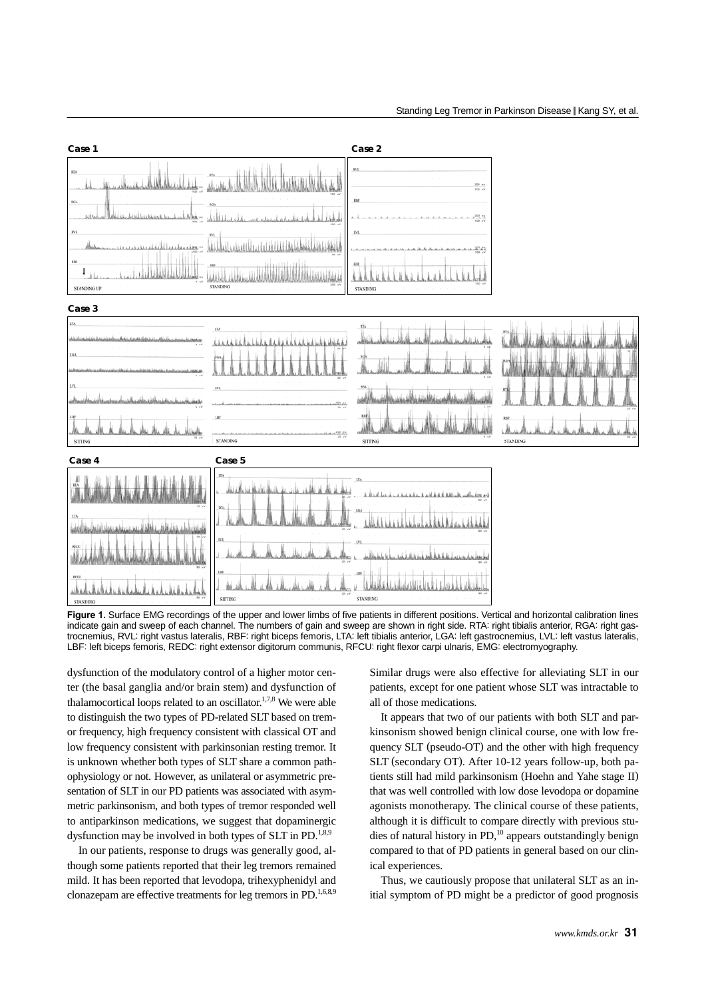

**Figure 1.** Surface EMG recordings of the upper and lower limbs of five patients in different positions. Vertical and horizontal calibration lines indicate gain and sweep of each channel. The numbers of gain and sweep are shown in right side. RTA: right tibialis anterior, RGA: right gastrocnemius, RVL: right vastus lateralis, RBF: right biceps femoris, LTA: left tibialis anterior, LGA: left gastrocnemius, LVL: left vastus lateralis, LBF: left biceps femoris, REDC: right extensor digitorum communis, RFCU: right flexor carpi ulnaris, EMG: electromyography.

dysfunction of the modulatory control of a higher motor center (the basal ganglia and/or brain stem) and dysfunction of thalamocortical loops related to an oscillator.<sup>1,7,8</sup> We were able to distinguish the two types of PD-related SLT based on tremor frequency, high frequency consistent with classical OT and low frequency consistent with parkinsonian resting tremor. It is unknown whether both types of SLT share a common pathophysiology or not. However, as unilateral or asymmetric presentation of SLT in our PD patients was associated with asymmetric parkinsonism, and both types of tremor responded well to antiparkinson medications, we suggest that dopaminergic dysfunction may be involved in both types of SLT in PD.<sup>1,8,9</sup>

In our patients, response to drugs was generally good, although some patients reported that their leg tremors remained mild. It has been reported that levodopa, trihexyphenidyl and clonazepam are effective treatments for leg tremors in PD.<sup>1,6,8,9</sup>

Similar drugs were also effective for alleviating SLT in our patients, except for one patient whose SLT was intractable to all of those medications.

It appears that two of our patients with both SLT and parkinsonism showed benign clinical course, one with low frequency SLT (pseudo-OT) and the other with high frequency SLT (secondary OT). After 10-12 years follow-up, both patients still had mild parkinsonism (Hoehn and Yahe stage II) that was well controlled with low dose levodopa or dopamine agonists monotherapy. The clinical course of these patients, although it is difficult to compare directly with previous studies of natural history in  $PD<sub>10</sub><sup>10</sup>$  appears outstandingly benign compared to that of PD patients in general based on our clinical experiences.

Thus, we cautiously propose that unilateral SLT as an initial symptom of PD might be a predictor of good prognosis